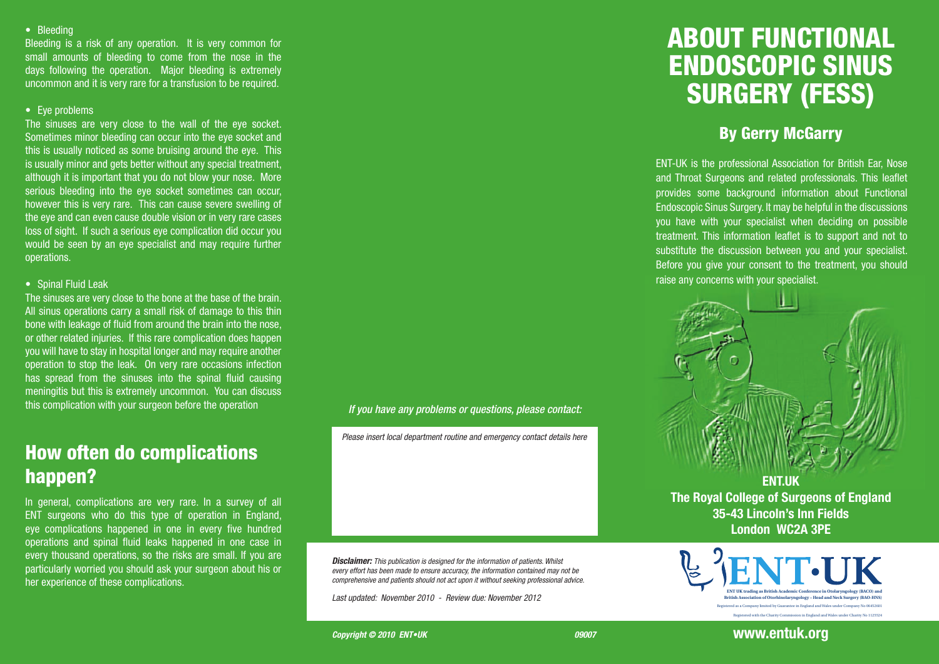#### • Bleeding

Bleeding is a risk of any operation. It is very common for small amounts of bleeding to come from the nose in the days following the operation. Major bleeding is extremely uncommon and it is very rare for a transfusion to be required.

#### $\overline{\bullet}$  Eye problems

The sinuses are very close to the wall of the eye socket. Sometimes minor bleeding can occur into the eye socket and this is usually noticed as some bruising around the eye. This is usually minor and gets better without any special treatment, although it is important that you do not blow your nose. More serious bleeding into the eye socket sometimes can occur, however this is very rare. This can cause severe swelling of the eye and can even cause double vision or in very rare cases loss of sight. If such a serious eye complication did occur you would be seen by an eye specialist and may require further operations.

#### • Spinal Fluid Leak

The sinuses are very close to the bone at the base of the brain. All sinus operations carry a small risk of damage to this thin bone with leakage of fluid from around the brain into the nose, or other related injuries. If this rare complication does happen you will have to stay in hospital longer and may require another operation to stop the leak. On very rare occasions infection has spread from the sinuses into the spinal fluid causing meningitis but this is extremely uncommon. You can discuss this complication with your surgeon before the operation

# How often do complications happen?

In general, complications are very rare. In a survey of all ENT surgeons who do this type of operation in England, eye complications happened in one in every five hundred operations and spinal fluid leaks happened in one case in every thousand operations, so the risks are small. If you are particularly worried you should ask your surgeon about his or her experience of these complications.

#### *If you have any problems or questions, please contact:*

*Please insert local department routine and emergency contact details here*

*Disclaimer: This publication is designed for the information of patients. Whilst every effort has been made to ensure accuracy, the information contained may not be comprehensive and patients should not act upon it without seeking professional advice.*

*Last updated: November 2010 - Review due: November 2012* 

# ABOUT FUNCTIONAL ENDOSCOPIC SINUS SURGERY (FESS)

#### By Gerry McGarry

ENT-UK is the professional Association for British Ear, Nose and Throat Surgeons and related professionals. This leaflet provides some background information about Functional Endoscopic Sinus Surgery. It may be helpful in the discussions you have with your specialist when deciding on possible treatment. This information leaflet is to support and not to substitute the discussion between you and your specialist. Before you give your consent to the treatment, you should raise any concerns with your specialist.



**The Royal College of Surgeons of England 35-43 Lincoln's Inn Fields London WC2A 3PE**



#### **www.entuk.org**